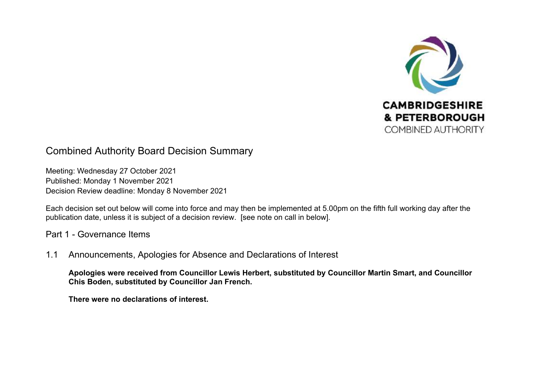

# Combined Authority Board Decision Summary

Meeting: Wednesday 27 October 2021 Published: Monday 1 November 2021 Decision Review deadline: Monday 8 November 2021

Each decision set out below will come into force and may then be implemented at 5.00pm on the fifth full working day after the publication date, unless it is subject of a decision review. [see note on call in below].

Part 1 - Governance Items

1.1 Announcements, Apologies for Absence and Declarations of Interest

**Apologies were received from Councillor Lewis Herbert, substituted by Councillor Martin Smart, and Councillor Chis Boden, substituted by Councillor Jan French.** 

**There were no declarations of interest.**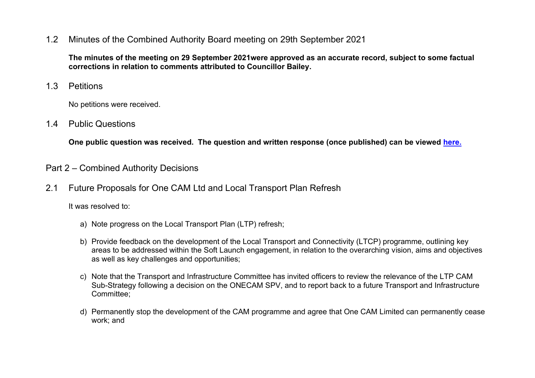## 1.2 Minutes of the Combined Authority Board meeting on 29th September 2021

**The minutes of the meeting on 29 September 2021were approved as an accurate record, subject to some factual corrections in relation to comments attributed to Councillor Bailey.** 

1.3 Petitions

No petitions were received.

1.4 Public Questions

**One public question was received. The question and written response (once published) can be viewed [here.](https://cambridgeshirepeterboroughcagov.cmis.uk.com/Meetings/tabid/70/ctl/ViewMeetingPublic/mid/397/Meeting/2037/Committee/63/SelectedTab/Documents/Default.aspx)** 

# Part 2 – Combined Authority Decisions

2.1 Future Proposals for One CAM Ltd and Local Transport Plan Refresh

- a) Note progress on the Local Transport Plan (LTP) refresh;
- b) Provide feedback on the development of the Local Transport and Connectivity (LTCP) programme, outlining key areas to be addressed within the Soft Launch engagement, in relation to the overarching vision, aims and objectives as well as key challenges and opportunities;
- c) Note that the Transport and Infrastructure Committee has invited officers to review the relevance of the LTP CAM Sub-Strategy following a decision on the ONECAM SPV, and to report back to a future Transport and Infrastructure Committee;
- d) Permanently stop the development of the CAM programme and agree that One CAM Limited can permanently cease work; and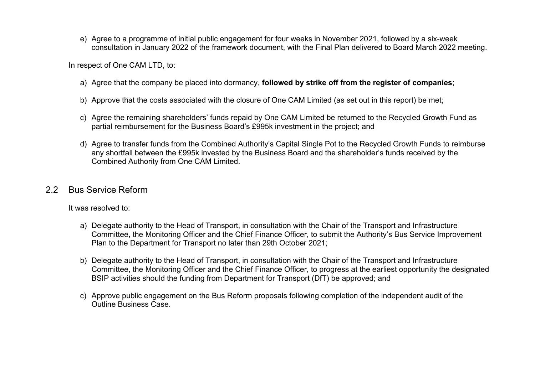e) Agree to a programme of initial public engagement for four weeks in November 2021, followed by a six-week consultation in January 2022 of the framework document, with the Final Plan delivered to Board March 2022 meeting.

In respect of One CAM LTD, to:

- a) Agree that the company be placed into dormancy, **followed by strike off from the register of companies**;
- b) Approve that the costs associated with the closure of One CAM Limited (as set out in this report) be met;
- c) Agree the remaining shareholders' funds repaid by One CAM Limited be returned to the Recycled Growth Fund as partial reimbursement for the Business Board's £995k investment in the project; and
- d) Agree to transfer funds from the Combined Authority's Capital Single Pot to the Recycled Growth Funds to reimburse any shortfall between the £995k invested by the Business Board and the shareholder's funds received by the Combined Authority from One CAM Limited.

#### 2.2 Bus Service Reform

- a) Delegate authority to the Head of Transport, in consultation with the Chair of the Transport and Infrastructure Committee, the Monitoring Officer and the Chief Finance Officer, to submit the Authority's Bus Service Improvement Plan to the Department for Transport no later than 29th October 2021;
- b) Delegate authority to the Head of Transport, in consultation with the Chair of the Transport and Infrastructure Committee, the Monitoring Officer and the Chief Finance Officer, to progress at the earliest opportunity the designated BSIP activities should the funding from Department for Transport (DfT) be approved; and
- c) Approve public engagement on the Bus Reform proposals following completion of the independent audit of the Outline Business Case.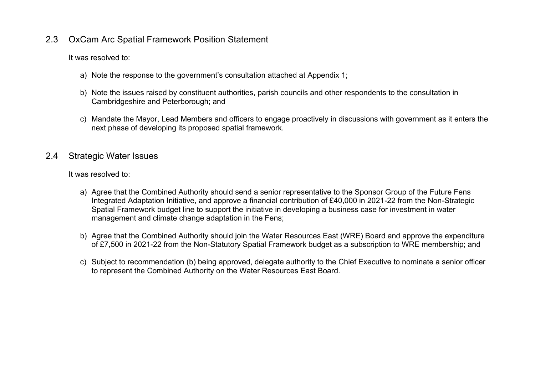## 2.3 OxCam Arc Spatial Framework Position Statement

It was resolved to:

- a) Note the response to the government's consultation attached at Appendix 1;
- b) Note the issues raised by constituent authorities, parish councils and other respondents to the consultation in Cambridgeshire and Peterborough; and
- c) Mandate the Mayor, Lead Members and officers to engage proactively in discussions with government as it enters the next phase of developing its proposed spatial framework.

#### 2.4 Strategic Water Issues

- a) Agree that the Combined Authority should send a senior representative to the Sponsor Group of the Future Fens Integrated Adaptation Initiative, and approve a financial contribution of £40,000 in 2021-22 from the Non-Strategic Spatial Framework budget line to support the initiative in developing a business case for investment in water management and climate change adaptation in the Fens;
- b) Agree that the Combined Authority should join the Water Resources East (WRE) Board and approve the expenditure of £7,500 in 2021-22 from the Non-Statutory Spatial Framework budget as a subscription to WRE membership; and
- c) Subject to recommendation (b) being approved, delegate authority to the Chief Executive to nominate a senior officer to represent the Combined Authority on the Water Resources East Board.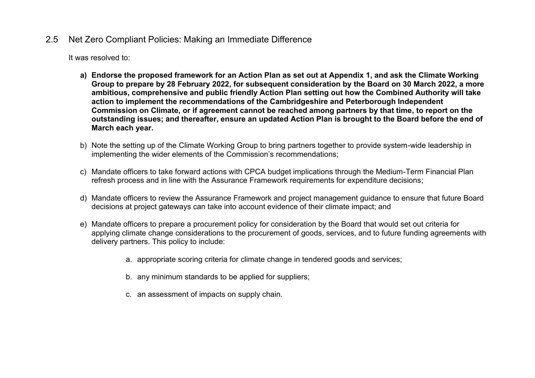## 2.5 Net Zero Compliant Policies: Making an Immediate Difference

- **a) Endorse the proposed framework for an Action Plan as set out at Appendix 1, and ask the Climate Working Group to prepare by 28 February 2022, for subsequent consideration by the Board on 30 March 2022, a more ambitious, comprehensive and public friendly Action Plan setting out how the Combined Authority will take action to implement the recommendations of the Cambridgeshire and Peterborough Independent Commission on Climate, or if agreement cannot be reached among partners by that time, to report on the outstanding issues; and thereafter, ensure an updated Action Plan is brought to the Board before the end of March each year.**
- b) Note the setting up of the Climate Working Group to bring partners together to provide system-wide leadership in implementing the wider elements of the Commission's recommendations;
- c) Mandate officers to take forward actions with CPCA budget implications through the Medium-Term Financial Plan refresh process and in line with the Assurance Framework requirements for expenditure decisions;
- d) Mandate officers to review the Assurance Framework and project management guidance to ensure that future Board decisions at project gateways can take into account evidence of their climate impact; and
- e) Mandate officers to prepare a procurement policy for consideration by the Board that would set out criteria for applying climate change considerations to the procurement of goods, services, and to future funding agreements with delivery partners. This policy to include:
	- a. appropriate scoring criteria for climate change in tendered goods and services;
	- b. any minimum standards to be applied for suppliers;
	- c. an assessment of impacts on supply chain.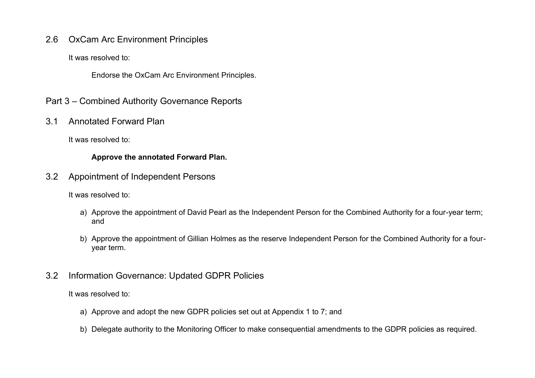## 2.6 OxCam Arc Environment Principles

It was resolved to:

Endorse the OxCam Arc Environment Principles.

- Part 3 Combined Authority Governance Reports
- 3.1 Annotated Forward Plan

It was resolved to:

#### **Approve the annotated Forward Plan.**

3.2 Appointment of Independent Persons

It was resolved to:

- a) Approve the appointment of David Pearl as the Independent Person for the Combined Authority for a four-year term; and
- b) Approve the appointment of Gillian Holmes as the reserve Independent Person for the Combined Authority for a fouryear term.
- 3.2 Information Governance: Updated GDPR Policies

- a) Approve and adopt the new GDPR policies set out at Appendix 1 to 7; and
- b) Delegate authority to the Monitoring Officer to make consequential amendments to the GDPR policies as required.